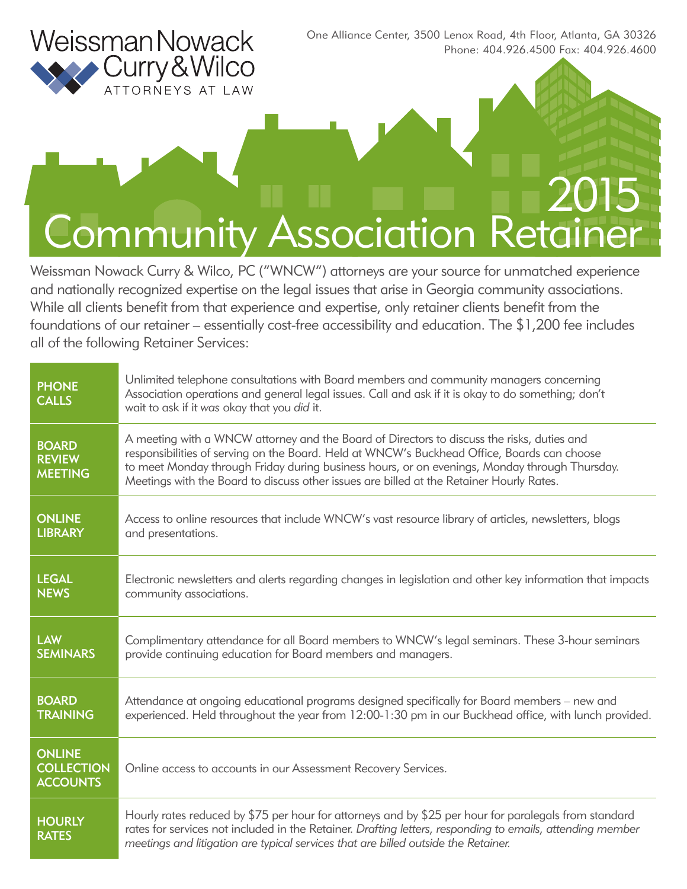

One Alliance Center, 3500 Lenox Road, 4th Floor, Atlanta, GA 30326 Phone: 404.926.4500 Fax: 404.926.4600

# 2015 Community Association Retainer

Weissman Nowack Curry & Wilco, PC ("WNCW") attorneys are your source for unmatched experience and nationally recognized expertise on the legal issues that arise in Georgia community associations. While all clients benefit from that experience and expertise, only retainer clients benefit from the foundations of our retainer – essentially cost-free accessibility and education. The \$1,200 fee includes all of the following Retainer Services:

| <b>PHONE</b><br><b>CALLS</b>                          | Unlimited telephone consultations with Board members and community managers concerning<br>Association operations and general legal issues. Call and ask if it is okay to do something; don't<br>wait to ask if it was okay that you did it.                                                                                                                                            |  |
|-------------------------------------------------------|----------------------------------------------------------------------------------------------------------------------------------------------------------------------------------------------------------------------------------------------------------------------------------------------------------------------------------------------------------------------------------------|--|
| <b>BOARD</b><br><b>REVIEW</b><br><b>MEETING</b>       | A meeting with a WNCW attorney and the Board of Directors to discuss the risks, duties and<br>responsibilities of serving on the Board. Held at WNCW's Buckhead Office, Boards can choose<br>to meet Monday through Friday during business hours, or on evenings, Monday through Thursday.<br>Meetings with the Board to discuss other issues are billed at the Retainer Hourly Rates. |  |
| <b>ONLINE</b>                                         | Access to online resources that include WNCW's vast resource library of articles, newsletters, blogs                                                                                                                                                                                                                                                                                   |  |
| <b>LIBRARY</b>                                        | and presentations.                                                                                                                                                                                                                                                                                                                                                                     |  |
| <b>LEGAL</b>                                          | Electronic newsletters and alerts regarding changes in legislation and other key information that impacts                                                                                                                                                                                                                                                                              |  |
| <b>NEWS</b>                                           | community associations.                                                                                                                                                                                                                                                                                                                                                                |  |
| <b>LAW</b>                                            | Complimentary attendance for all Board members to WNCW's legal seminars. These 3-hour seminars                                                                                                                                                                                                                                                                                         |  |
| <b>SEMINARS</b>                                       | provide continuing education for Board members and managers.                                                                                                                                                                                                                                                                                                                           |  |
| <b>BOARD</b>                                          | Attendance at ongoing educational programs designed specifically for Board members - new and                                                                                                                                                                                                                                                                                           |  |
| <b>TRAINING</b>                                       | experienced. Held throughout the year from 12:00-1:30 pm in our Buckhead office, with lunch provided.                                                                                                                                                                                                                                                                                  |  |
| <b>ONLINE</b><br><b>COLLECTION</b><br><b>ACCOUNTS</b> | Online access to accounts in our Assessment Recovery Services.                                                                                                                                                                                                                                                                                                                         |  |
| <b>HOURLY</b><br><b>RATES</b>                         | Hourly rates reduced by \$75 per hour for attorneys and by \$25 per hour for paralegals from standard<br>rates for services not included in the Retainer. Drafting letters, responding to emails, attending member<br>meetings and litigation are typical services that are billed outside the Retainer.                                                                               |  |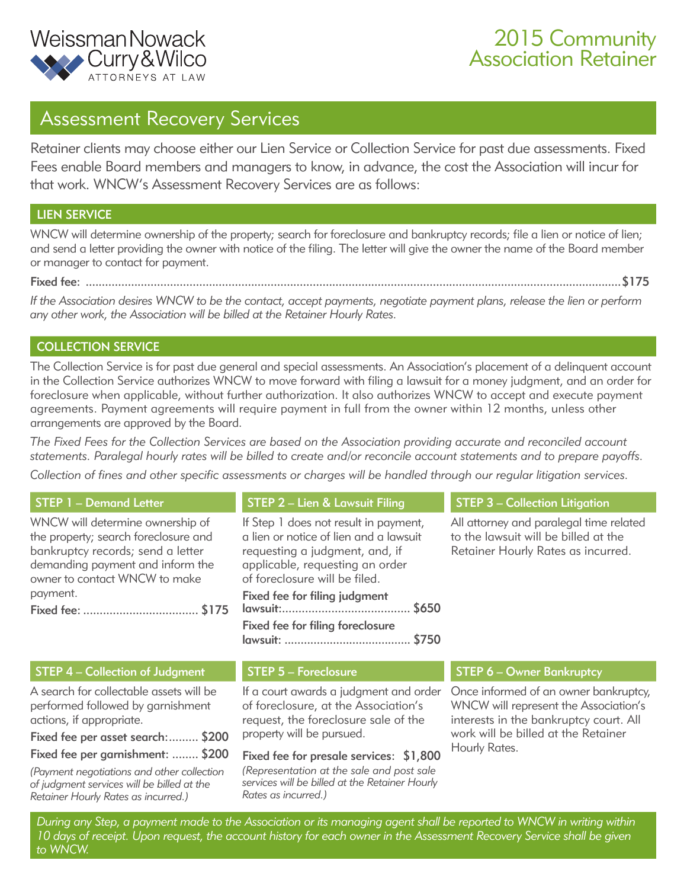

### 2015 Community Association Retainer

### Assessment Recovery Services

Retainer clients may choose either our Lien Service or Collection Service for past due assessments. Fixed Fees enable Board members and managers to know, in advance, the cost the Association will incur for that work. WNCW's Assessment Recovery Services are as follows:

#### LIEN SERVICE

WNCW will determine ownership of the property; search for foreclosure and bankruptcy records; file a lien or notice of lien; and send a letter providing the owner with notice of the filing. The letter will give the owner the name of the Board member or manager to contact for payment.

Fixed fee: .....................................................................................................................................................................\$175

*If the Association desires WNCW to be the contact, accept payments, negotiate payment plans, release the lien or perform any other work, the Association will be billed at the Retainer Hourly Rates.*

#### COLLECTION SERVICE

The Collection Service is for past due general and special assessments. An Association's placement of a delinquent account in the Collection Service authorizes WNCW to move forward with filing a lawsuit for a money judgment, and an order for foreclosure when applicable, without further authorization. It also authorizes WNCW to accept and execute payment agreements. Payment agreements will require payment in full from the owner within 12 months, unless other arrangements are approved by the Board.

*The Fixed Fees for the Collection Services are based on the Association providing accurate and reconciled account statements. Paralegal hourly rates will be billed to create and/or reconcile account statements and to prepare payoffs.*

*Collection of fines and other specific assessments or charges will be handled through our regular litigation services.*

| <b>STEP 1 - Demand Letter</b>                                                                                                                                                                  | STEP 2 - Lien & Lawsuit Filing                                                                                                                                                                                                                             | <b>STEP 3 - Collection Litigation</b>                                                                                                                           |  |
|------------------------------------------------------------------------------------------------------------------------------------------------------------------------------------------------|------------------------------------------------------------------------------------------------------------------------------------------------------------------------------------------------------------------------------------------------------------|-----------------------------------------------------------------------------------------------------------------------------------------------------------------|--|
| WNCW will determine ownership of<br>the property; search foreclosure and<br>bankruptcy records; send a letter<br>demanding payment and inform the<br>owner to contact WNCW to make<br>payment. | If Step 1 does not result in payment,<br>a lien or notice of lien and a lawsuit<br>requesting a judgment, and, if<br>applicable, requesting an order<br>of foreclosure will be filed.<br>Fixed fee for filing judgment<br>Fixed fee for filing foreclosure | All attorney and paralegal time related<br>to the lawsuit will be billed at the<br>Retainer Hourly Rates as incurred.                                           |  |
| <b>STEP 4 - Collection of Judgment</b>                                                                                                                                                         | <b>STEP 5 - Foreclosure</b>                                                                                                                                                                                                                                | <b>STEP 6 - Owner Bankruptcy</b>                                                                                                                                |  |
| A search for collectable assets will be<br>performed followed by garnishment<br>actions, if appropriate.<br>Fixed fee per asset search: \$200                                                  | If a court awards a judgment and order<br>of foreclosure, at the Association's<br>request, the foreclosure sale of the<br>property will be pursued.                                                                                                        | Once informed of an owner bankruptcy,<br>WNCW will represent the Association's<br>interests in the bankruptcy court. All<br>work will be billed at the Retainer |  |
| Fixed fee per garnishment:  \$200                                                                                                                                                              | Fixed fee for presale services: \$1,800                                                                                                                                                                                                                    | Hourly Rates.                                                                                                                                                   |  |
| (Payment negotiations and other collection<br>of judgment services will be billed at the<br>Retainer Hourly Rates as incurred.)                                                                | (Representation at the sale and post sale<br>services will be billed at the Retainer Hourly<br>Rates as incurred.)                                                                                                                                         |                                                                                                                                                                 |  |
| During any Step, a payment made to the Association or its managing agent shall be reported to WNCW in writing within                                                                           |                                                                                                                                                                                                                                                            |                                                                                                                                                                 |  |

*to WNCW.*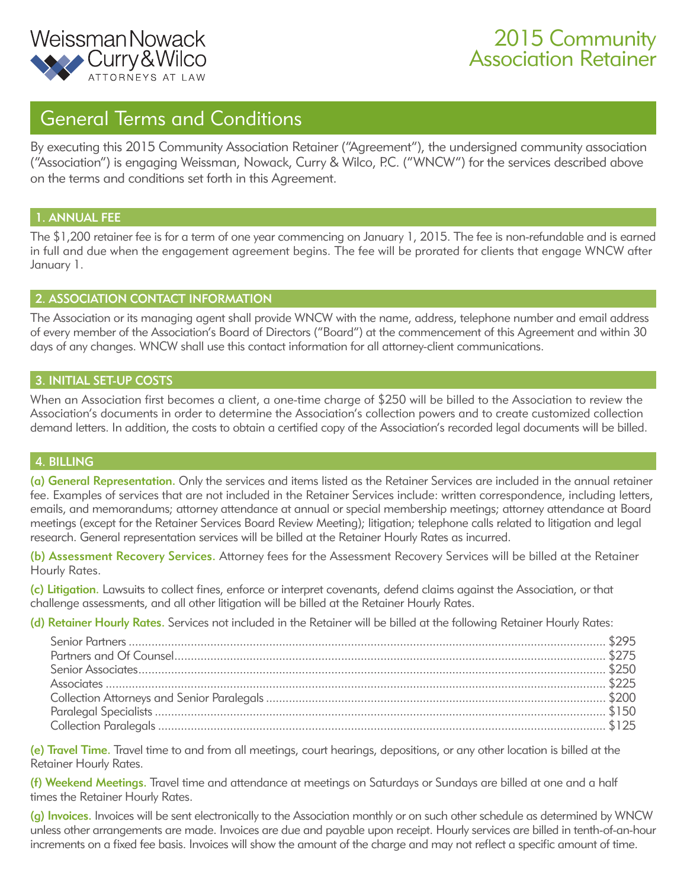

## 2015 Community Association Retainer

### General Terms and Conditions

By executing this 2015 Community Association Retainer ("Agreement"), the undersigned community association ("Association") is engaging Weissman, Nowack, Curry & Wilco, P.C. ("WNCW") for the services described above on the terms and conditions set forth in this Agreement.

#### 1. ANNUAL FEE

The \$1,200 retainer fee is for a term of one year commencing on January 1, 2015. The fee is non-refundable and is earned in full and due when the engagement agreement begins. The fee will be prorated for clients that engage WNCW after January 1.

#### 2. ASSOCIATION CONTACT INFORMATION

The Association or its managing agent shall provide WNCW with the name, address, telephone number and email address of every member of the Association's Board of Directors ("Board") at the commencement of this Agreement and within 30 days of any changes. WNCW shall use this contact information for all attorney-client communications.

#### 3. INITIAL SET-UP COSTS

When an Association first becomes a client, a one-time charge of \$250 will be billed to the Association to review the Association's documents in order to determine the Association's collection powers and to create customized collection demand letters. In addition, the costs to obtain a certified copy of the Association's recorded legal documents will be billed.

#### 4. BILLING

(a) General Representation. Only the services and items listed as the Retainer Services are included in the annual retainer fee. Examples of services that are not included in the Retainer Services include: written correspondence, including letters, emails, and memorandums; attorney attendance at annual or special membership meetings; attorney attendance at Board meetings (except for the Retainer Services Board Review Meeting); litigation; telephone calls related to litigation and legal research. General representation services will be billed at the Retainer Hourly Rates as incurred.

(b) Assessment Recovery Services. Attorney fees for the Assessment Recovery Services will be billed at the Retainer Hourly Rates.

(c) Litigation. Lawsuits to collect fines, enforce or interpret covenants, defend claims against the Association, or that challenge assessments, and all other litigation will be billed at the Retainer Hourly Rates.

(d) Retainer Hourly Rates. Services not included in the Retainer will be billed at the following Retainer Hourly Rates:

(e) Travel Time. Travel time to and from all meetings, court hearings, depositions, or any other location is billed at the Retainer Hourly Rates.

(f) Weekend Meetings. Travel time and attendance at meetings on Saturdays or Sundays are billed at one and a half times the Retainer Hourly Rates.

(g) Invoices. Invoices will be sent electronically to the Association monthly or on such other schedule as determined by WNCW unless other arrangements are made. Invoices are due and payable upon receipt. Hourly services are billed in tenth-of-an-hour increments on a fixed fee basis. Invoices will show the amount of the charge and may not reflect a specific amount of time.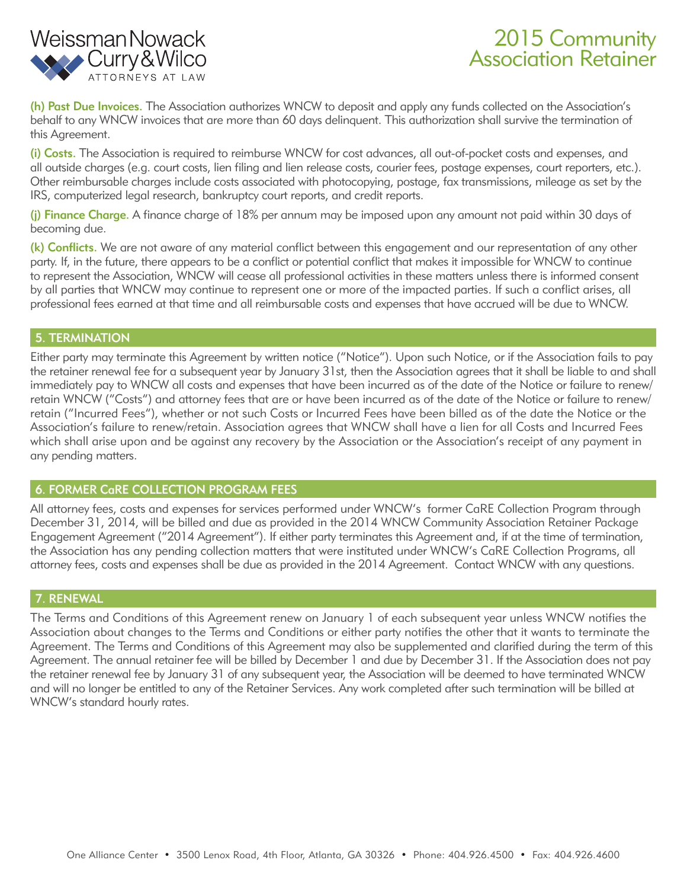

# 2015 Community Association Retainer

(h) Past Due Invoices. The Association authorizes WNCW to deposit and apply any funds collected on the Association's behalf to any WNCW invoices that are more than 60 days delinquent. This authorization shall survive the termination of this Agreement.

(i) Costs. The Association is required to reimburse WNCW for cost advances, all out-of-pocket costs and expenses, and all outside charges (e.g. court costs, lien filing and lien release costs, courier fees, postage expenses, court reporters, etc.). Other reimbursable charges include costs associated with photocopying, postage, fax transmissions, mileage as set by the IRS, computerized legal research, bankruptcy court reports, and credit reports.

(i) Finance Charge. A finance charge of 18% per annum may be imposed upon any amount not paid within 30 days of becoming due.

(k) Conflicts. We are not aware of any material conflict between this engagement and our representation of any other party. If, in the future, there appears to be a conflict or potential conflict that makes it impossible for WNCW to continue to represent the Association, WNCW will cease all professional activities in these matters unless there is informed consent by all parties that WNCW may continue to represent one or more of the impacted parties. If such a conflict arises, all professional fees earned at that time and all reimbursable costs and expenses that have accrued will be due to WNCW.

#### 5. TERMINATION

Either party may terminate this Agreement by written notice ("Notice"). Upon such Notice, or if the Association fails to pay the retainer renewal fee for a subsequent year by January 31st, then the Association agrees that it shall be liable to and shall immediately pay to WNCW all costs and expenses that have been incurred as of the date of the Notice or failure to renew/ retain WNCW ("Costs") and attorney fees that are or have been incurred as of the date of the Notice or failure to renew/ retain ("Incurred Fees"), whether or not such Costs or Incurred Fees have been billed as of the date the Notice or the Association's failure to renew/retain. Association agrees that WNCW shall have a lien for all Costs and Incurred Fees which shall arise upon and be against any recovery by the Association or the Association's receipt of any payment in any pending matters.

#### 6. FORMER CaRE COLLECTION PROGRAM FEES

All attorney fees, costs and expenses for services performed under WNCW's former CaRE Collection Program through December 31, 2014, will be billed and due as provided in the 2014 WNCW Community Association Retainer Package Engagement Agreement ("2014 Agreement"). If either party terminates this Agreement and, if at the time of termination, the Association has any pending collection matters that were instituted under WNCW's CaRE Collection Programs, all attorney fees, costs and expenses shall be due as provided in the 2014 Agreement. Contact WNCW with any questions.

#### 7. RENEWAL

The Terms and Conditions of this Agreement renew on January 1 of each subsequent year unless WNCW notifies the Association about changes to the Terms and Conditions or either party notifies the other that it wants to terminate the Agreement. The Terms and Conditions of this Agreement may also be supplemented and clarified during the term of this Agreement. The annual retainer fee will be billed by December 1 and due by December 31. If the Association does not pay the retainer renewal fee by January 31 of any subsequent year, the Association will be deemed to have terminated WNCW and will no longer be entitled to any of the Retainer Services. Any work completed after such termination will be billed at WNCW's standard hourly rates.